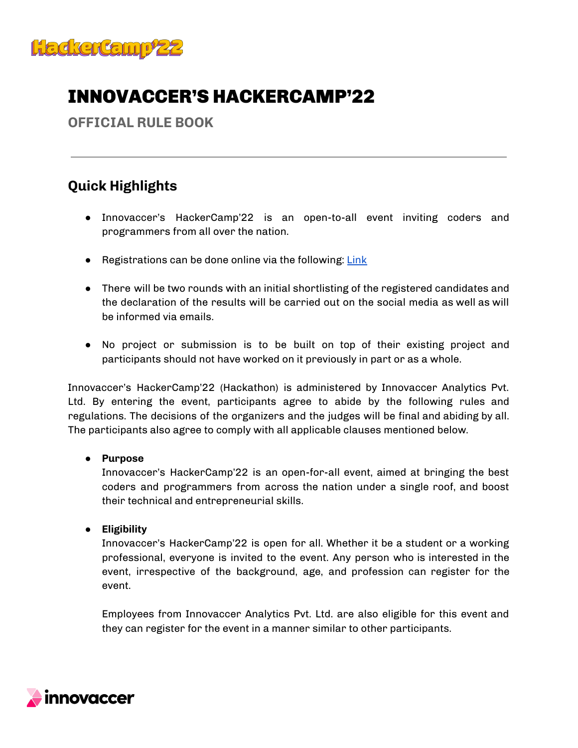

# INNOVACCER'S HACKERCAMP'22

**OFFICIAL RULE BOOK**

# **Quick Highlights**

- Innovaccer's HackerCamp'22 is an open-to-all event inviting coders and programmers from all over the nation.
- Registrations can be done online via the following: [Link](https://dare2compete.com/p/innovaccers-hackercamp22-innovaccer-266149)
- There will be two rounds with an initial shortlisting of the registered candidates and the declaration of the results will be carried out on the social media as well as will be informed via emails.
- No project or submission is to be built on top of their existing project and participants should not have worked on it previously in part or as a whole.

Innovaccer's HackerCamp'22 (Hackathon) is administered by Innovaccer Analytics Pvt. Ltd. By entering the event, participants agree to abide by the following rules and regulations. The decisions of the organizers and the judges will be final and abiding by all. The participants also agree to comply with all applicable clauses mentioned below.

# **● Purpose**

Innovaccer's HackerCamp'22 is an open-for-all event, aimed at bringing the best coders and programmers from across the nation under a single roof, and boost their technical and entrepreneurial skills.

**● Eligibility**

Innovaccer's HackerCamp'22 is open for all. Whether it be a student or a working professional, everyone is invited to the event. Any person who is interested in the event, irrespective of the background, age, and profession can register for the event.

Employees from Innovaccer Analytics Pvt. Ltd. are also eligible for this event and they can register for the event in a manner similar to other participants.

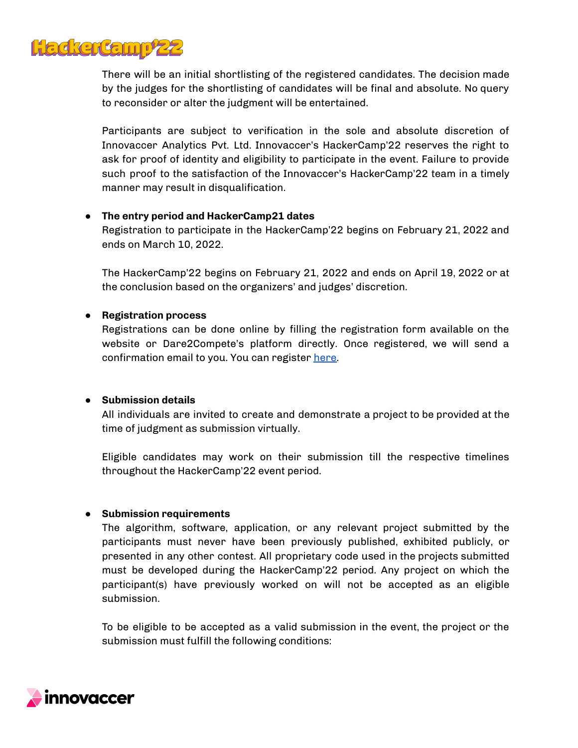

There will be an initial shortlisting of the registered candidates. The decision made by the judges for the shortlisting of candidates will be final and absolute. No query to reconsider or alter the judgment will be entertained.

Participants are subject to verification in the sole and absolute discretion of Innovaccer Analytics Pvt. Ltd. Innovaccer's HackerCamp'22 reserves the right to ask for proof of identity and eligibility to participate in the event. Failure to provide such proof to the satisfaction of the Innovaccer's HackerCamp'22 team in a timely manner may result in disqualification.

#### **● The entry period and HackerCamp21 dates**

Registration to participate in the HackerCamp'22 begins on February 21, 2022 and ends on March 10, 2022.

The HackerCamp'22 begins on February 21, 2022 and ends on April 19, 2022 or at the conclusion based on the organizers' and judges' discretion.

#### **● Registration process**

Registrations can be done online by filling the registration form available on the website or Dare2Compete's platform directly. Once registered, we will send a confirmation email to you. You can register [here.](https://dare2compete.com/p/innovaccers-hackercamp22-innovaccer-266149)

#### **● Submission details**

All individuals are invited to create and demonstrate a project to be provided at the time of judgment as submission virtually.

Eligible candidates may work on their submission till the respective timelines throughout the HackerCamp'22 event period.

# **● Submission requirements**

The algorithm, software, application, or any relevant project submitted by the participants must never have been previously published, exhibited publicly, or presented in any other contest. All proprietary code used in the projects submitted must be developed during the HackerCamp'22 period. Any project on which the participant(s) have previously worked on will not be accepted as an eligible submission.

To be eligible to be accepted as a valid submission in the event, the project or the submission must fulfill the following conditions:

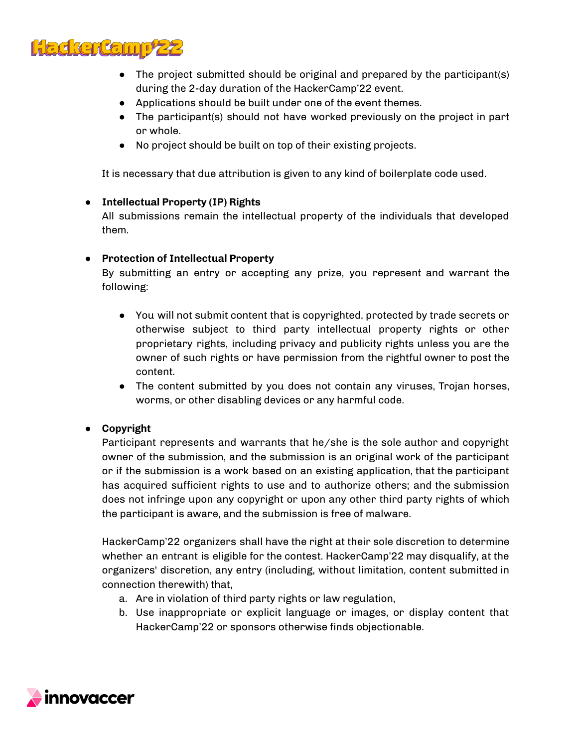

- The project submitted should be original and prepared by the participant(s) during the 2-day duration of the HackerCamp'22 event.
- Applications should be built under one of the event themes.
- The participant(s) should not have worked previously on the project in part or whole.
- No project should be built on top of their existing projects.

It is necessary that due attribution is given to any kind of boilerplate code used.

# **● Intellectual Property (IP) Rights**

All submissions remain the intellectual property of the individuals that developed them.

# **● Protection of Intellectual Property**

By submitting an entry or accepting any prize, you represent and warrant the following:

- You will not submit content that is copyrighted, protected by trade secrets or otherwise subject to third party intellectual property rights or other proprietary rights, including privacy and publicity rights unless you are the owner of such rights or have permission from the rightful owner to post the content.
- The content submitted by you does not contain any viruses, Trojan horses, worms, or other disabling devices or any harmful code.

# **● Copyright**

Participant represents and warrants that he/she is the sole author and copyright owner of the submission, and the submission is an original work of the participant or if the submission is a work based on an existing application, that the participant has acquired sufficient rights to use and to authorize others; and the submission does not infringe upon any copyright or upon any other third party rights of which the participant is aware, and the submission is free of malware.

HackerCamp'22 organizers shall have the right at their sole discretion to determine whether an entrant is eligible for the contest. HackerCamp'22 may disqualify, at the organizers' discretion, any entry (including, without limitation, content submitted in connection therewith) that,

- a. Are in violation of third party rights or law regulation,
- b. Use inappropriate or explicit language or images, or display content that HackerCamp'22 or sponsors otherwise finds objectionable.

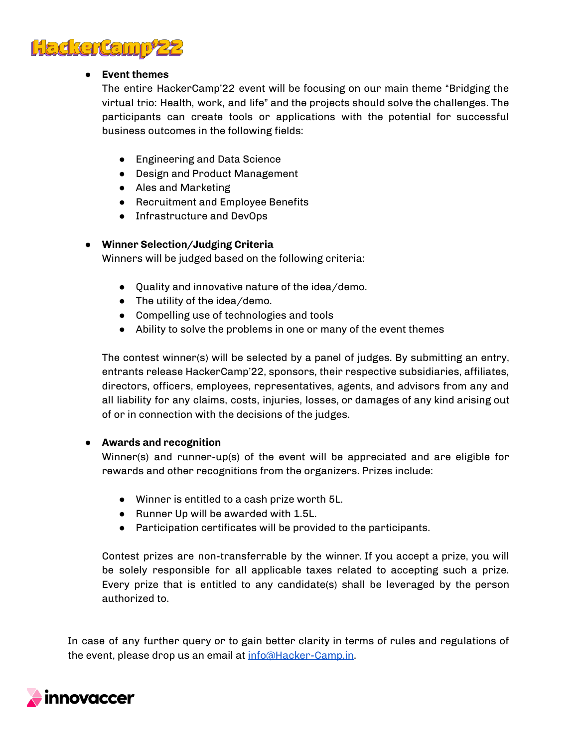

# **● Event themes**

The entire HackerCamp'22 event will be focusing on our main theme "Bridging the virtual trio: Health, work, and life" and the projects should solve the challenges. The participants can create tools or applications with the potential for successful business outcomes in the following fields:

- Engineering and Data Science
- Design and Product Management
- Ales and Marketing
- Recruitment and Employee Benefits
- Infrastructure and DevOps

# **● Winner Selection/Judging Criteria**

Winners will be judged based on the following criteria:

- Quality and innovative nature of the idea/demo.
- The utility of the idea/demo.
- Compelling use of technologies and tools
- Ability to solve the problems in one or many of the event themes

The contest winner(s) will be selected by a panel of judges. By submitting an entry, entrants release HackerCamp'22, sponsors, their respective subsidiaries, affiliates, directors, officers, employees, representatives, agents, and advisors from any and all liability for any claims, costs, injuries, losses, or damages of any kind arising out of or in connection with the decisions of the judges.

# **● Awards and recognition**

Winner(s) and runner-up(s) of the event will be appreciated and are eligible for rewards and other recognitions from the organizers. Prizes include:

- Winner is entitled to a cash prize worth 5L.
- Runner Up will be awarded with 1.5L.
- Participation certificates will be provided to the participants.

Contest prizes are non-transferrable by the winner. If you accept a prize, you will be solely responsible for all applicable taxes related to accepting such a prize. Every prize that is entitled to any candidate(s) shall be leveraged by the person authorized to.

In case of any further query or to gain better clarity in terms of rules and regulations of the event, please drop us an email at [info@Hacker-Camp.in.](mailto:info@Hacker-Camp.in)